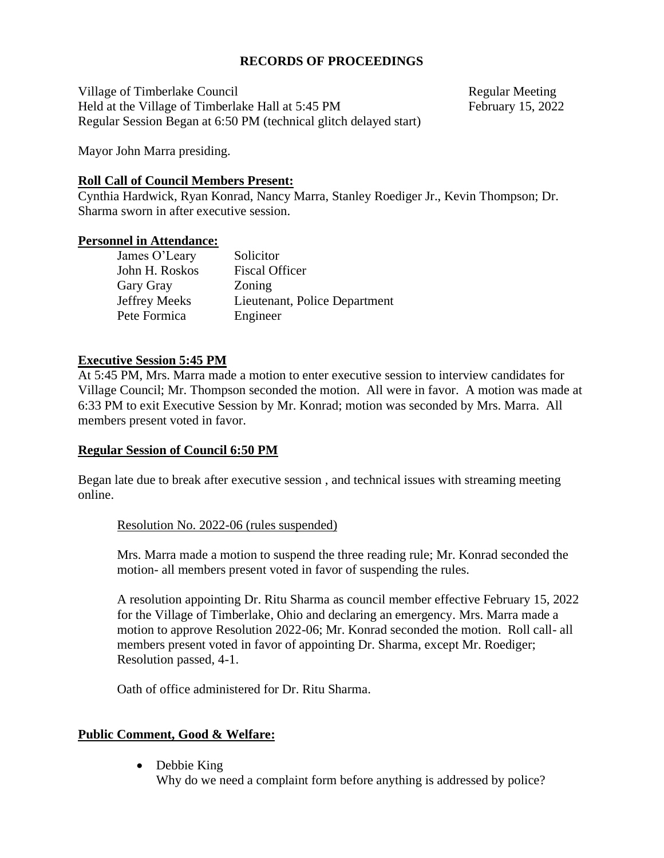## **RECORDS OF PROCEEDINGS**

Village of Timberlake Council and the council and the Regular Meeting Held at the Village of Timberlake Hall at 5:45 PM February 15, 2022 Regular Session Began at 6:50 PM (technical glitch delayed start)

Mayor John Marra presiding.

### **Roll Call of Council Members Present:**

Cynthia Hardwick, Ryan Konrad, Nancy Marra, Stanley Roediger Jr., Kevin Thompson; Dr. Sharma sworn in after executive session.

#### **Personnel in Attendance:**

| James O'Leary  | Solicitor                     |
|----------------|-------------------------------|
| John H. Roskos | <b>Fiscal Officer</b>         |
| Gary Gray      | Zoning                        |
| Jeffrey Meeks  | Lieutenant, Police Department |
| Pete Formica   | Engineer                      |
|                |                               |

## **Executive Session 5:45 PM**

At 5:45 PM, Mrs. Marra made a motion to enter executive session to interview candidates for Village Council; Mr. Thompson seconded the motion. All were in favor. A motion was made at 6:33 PM to exit Executive Session by Mr. Konrad; motion was seconded by Mrs. Marra. All members present voted in favor.

## **Regular Session of Council 6:50 PM**

Began late due to break after executive session , and technical issues with streaming meeting online.

## Resolution No. 2022-06 (rules suspended)

Mrs. Marra made a motion to suspend the three reading rule; Mr. Konrad seconded the motion- all members present voted in favor of suspending the rules.

A resolution appointing Dr. Ritu Sharma as council member effective February 15, 2022 for the Village of Timberlake, Ohio and declaring an emergency. Mrs. Marra made a motion to approve Resolution 2022-06; Mr. Konrad seconded the motion. Roll call- all members present voted in favor of appointing Dr. Sharma, except Mr. Roediger; Resolution passed, 4-1.

Oath of office administered for Dr. Ritu Sharma.

## **Public Comment, Good & Welfare:**

• Debbie King Why do we need a complaint form before anything is addressed by police?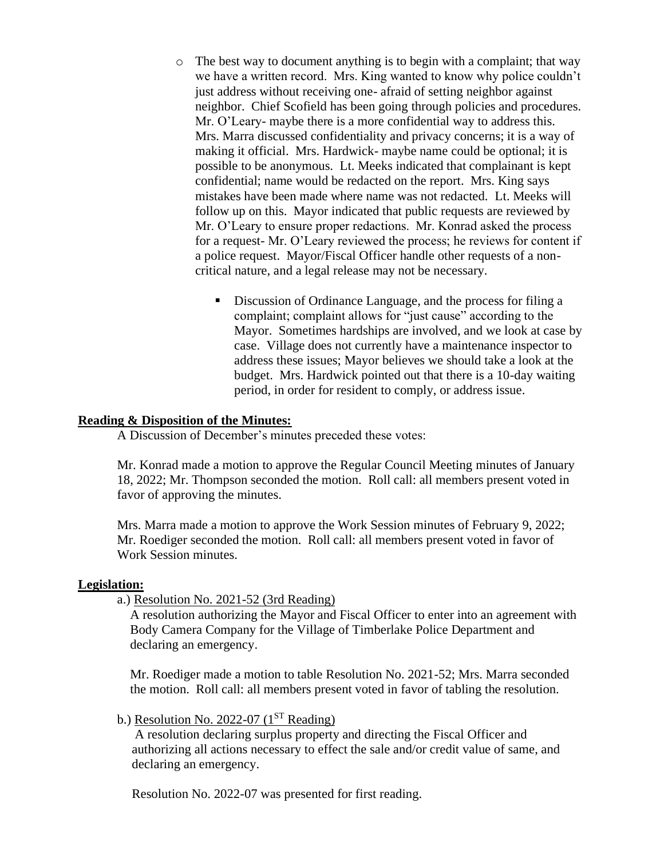- o The best way to document anything is to begin with a complaint; that way we have a written record. Mrs. King wanted to know why police couldn't just address without receiving one- afraid of setting neighbor against neighbor. Chief Scofield has been going through policies and procedures. Mr. O'Leary- maybe there is a more confidential way to address this. Mrs. Marra discussed confidentiality and privacy concerns; it is a way of making it official. Mrs. Hardwick- maybe name could be optional; it is possible to be anonymous. Lt. Meeks indicated that complainant is kept confidential; name would be redacted on the report. Mrs. King says mistakes have been made where name was not redacted. Lt. Meeks will follow up on this. Mayor indicated that public requests are reviewed by Mr. O'Leary to ensure proper redactions. Mr. Konrad asked the process for a request- Mr. O'Leary reviewed the process; he reviews for content if a police request. Mayor/Fiscal Officer handle other requests of a noncritical nature, and a legal release may not be necessary.
	- Discussion of Ordinance Language, and the process for filing a complaint; complaint allows for "just cause" according to the Mayor. Sometimes hardships are involved, and we look at case by case. Village does not currently have a maintenance inspector to address these issues; Mayor believes we should take a look at the budget. Mrs. Hardwick pointed out that there is a 10-day waiting period, in order for resident to comply, or address issue.

### **Reading & Disposition of the Minutes:**

A Discussion of December's minutes preceded these votes:

Mr. Konrad made a motion to approve the Regular Council Meeting minutes of January 18, 2022; Mr. Thompson seconded the motion. Roll call: all members present voted in favor of approving the minutes.

Mrs. Marra made a motion to approve the Work Session minutes of February 9, 2022; Mr. Roediger seconded the motion. Roll call: all members present voted in favor of Work Session minutes.

#### **Legislation:**

a.) Resolution No. 2021-52 (3rd Reading)

A resolution authorizing the Mayor and Fiscal Officer to enter into an agreement with Body Camera Company for the Village of Timberlake Police Department and declaring an emergency.

Mr. Roediger made a motion to table Resolution No. 2021-52; Mrs. Marra seconded the motion. Roll call: all members present voted in favor of tabling the resolution.

b.) Resolution No. 2022-07  $(1^{ST}$  Reading)

A resolution declaring surplus property and directing the Fiscal Officer and authorizing all actions necessary to effect the sale and/or credit value of same, and declaring an emergency.

Resolution No. 2022-07 was presented for first reading.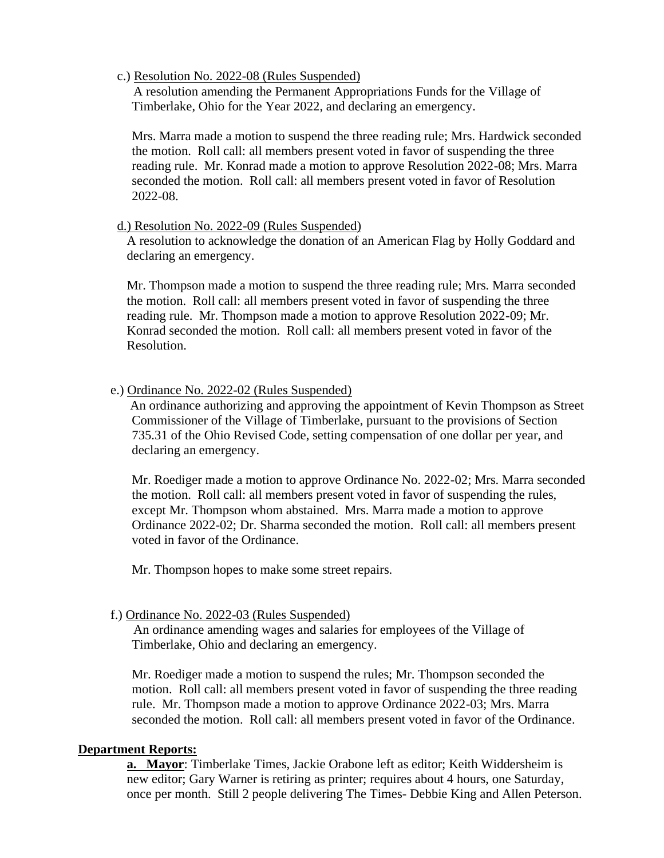### c.) Resolution No. 2022-08 (Rules Suspended)

 A resolution amending the Permanent Appropriations Funds for the Village of Timberlake, Ohio for the Year 2022, and declaring an emergency.

Mrs. Marra made a motion to suspend the three reading rule; Mrs. Hardwick seconded the motion. Roll call: all members present voted in favor of suspending the three reading rule. Mr. Konrad made a motion to approve Resolution 2022-08; Mrs. Marra seconded the motion. Roll call: all members present voted in favor of Resolution 2022-08.

## d.) Resolution No. 2022-09 (Rules Suspended)

 A resolution to acknowledge the donation of an American Flag by Holly Goddard and declaring an emergency.

 Mr. Thompson made a motion to suspend the three reading rule; Mrs. Marra seconded the motion. Roll call: all members present voted in favor of suspending the three reading rule. Mr. Thompson made a motion to approve Resolution 2022-09; Mr. Konrad seconded the motion. Roll call: all members present voted in favor of the Resolution.

## e.) Ordinance No. 2022-02 (Rules Suspended)

 An ordinance authorizing and approving the appointment of Kevin Thompson as Street Commissioner of the Village of Timberlake, pursuant to the provisions of Section 735.31 of the Ohio Revised Code, setting compensation of one dollar per year, and declaring an emergency.

Mr. Roediger made a motion to approve Ordinance No. 2022-02; Mrs. Marra seconded the motion. Roll call: all members present voted in favor of suspending the rules, except Mr. Thompson whom abstained. Mrs. Marra made a motion to approve Ordinance 2022-02; Dr. Sharma seconded the motion. Roll call: all members present voted in favor of the Ordinance.

Mr. Thompson hopes to make some street repairs.

## f.) Ordinance No. 2022-03 (Rules Suspended)

 An ordinance amending wages and salaries for employees of the Village of Timberlake, Ohio and declaring an emergency.

Mr. Roediger made a motion to suspend the rules; Mr. Thompson seconded the motion. Roll call: all members present voted in favor of suspending the three reading rule. Mr. Thompson made a motion to approve Ordinance 2022-03; Mrs. Marra seconded the motion. Roll call: all members present voted in favor of the Ordinance.

## **Department Reports:**

**a. Mayor**: Timberlake Times, Jackie Orabone left as editor; Keith Widdersheim is new editor; Gary Warner is retiring as printer; requires about 4 hours, one Saturday, once per month. Still 2 people delivering The Times- Debbie King and Allen Peterson.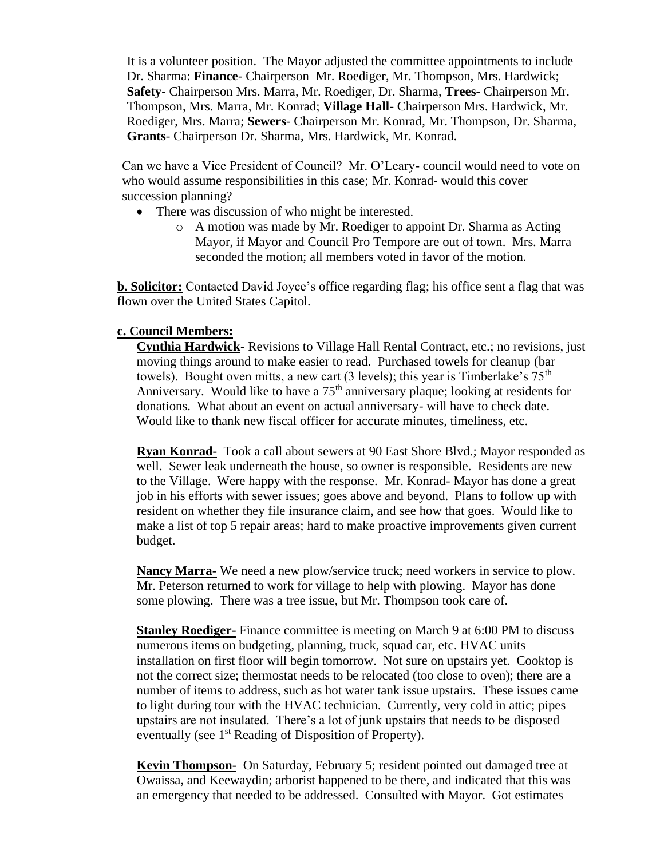It is a volunteer position. The Mayor adjusted the committee appointments to include Dr. Sharma: **Finance**- Chairperson Mr. Roediger, Mr. Thompson, Mrs. Hardwick; **Safety**- Chairperson Mrs. Marra, Mr. Roediger, Dr. Sharma, **Trees**- Chairperson Mr. Thompson, Mrs. Marra, Mr. Konrad; **Village Hall**- Chairperson Mrs. Hardwick, Mr. Roediger, Mrs. Marra; **Sewers**- Chairperson Mr. Konrad, Mr. Thompson, Dr. Sharma, **Grants**- Chairperson Dr. Sharma, Mrs. Hardwick, Mr. Konrad.

Can we have a Vice President of Council? Mr. O'Leary- council would need to vote on who would assume responsibilities in this case; Mr. Konrad- would this cover succession planning?

- There was discussion of who might be interested.
	- o A motion was made by Mr. Roediger to appoint Dr. Sharma as Acting Mayor, if Mayor and Council Pro Tempore are out of town. Mrs. Marra seconded the motion; all members voted in favor of the motion.

**b. Solicitor:** Contacted David Joyce's office regarding flag; his office sent a flag that was flown over the United States Capitol.

## **c. Council Members:**

**Cynthia Hardwick**- Revisions to Village Hall Rental Contract, etc.; no revisions, just moving things around to make easier to read. Purchased towels for cleanup (bar towels). Bought oven mitts, a new cart (3 levels); this year is Timberlake's  $75<sup>th</sup>$ Anniversary. Would like to have a  $75<sup>th</sup>$  anniversary plaque; looking at residents for donations. What about an event on actual anniversary- will have to check date. Would like to thank new fiscal officer for accurate minutes, timeliness, etc.

**Ryan Konrad-** Took a call about sewers at 90 East Shore Blvd.; Mayor responded as well. Sewer leak underneath the house, so owner is responsible. Residents are new to the Village. Were happy with the response. Mr. Konrad- Mayor has done a great job in his efforts with sewer issues; goes above and beyond. Plans to follow up with resident on whether they file insurance claim, and see how that goes. Would like to make a list of top 5 repair areas; hard to make proactive improvements given current budget.

**Nancy Marra-** We need a new plow/service truck; need workers in service to plow. Mr. Peterson returned to work for village to help with plowing. Mayor has done some plowing. There was a tree issue, but Mr. Thompson took care of.

**Stanley Roediger-** Finance committee is meeting on March 9 at 6:00 PM to discuss numerous items on budgeting, planning, truck, squad car, etc. HVAC units installation on first floor will begin tomorrow. Not sure on upstairs yet. Cooktop is not the correct size; thermostat needs to be relocated (too close to oven); there are a number of items to address, such as hot water tank issue upstairs. These issues came to light during tour with the HVAC technician. Currently, very cold in attic; pipes upstairs are not insulated. There's a lot of junk upstairs that needs to be disposed eventually (see 1<sup>st</sup> Reading of Disposition of Property).

**Kevin Thompson-** On Saturday, February 5; resident pointed out damaged tree at Owaissa, and Keewaydin; arborist happened to be there, and indicated that this was an emergency that needed to be addressed. Consulted with Mayor. Got estimates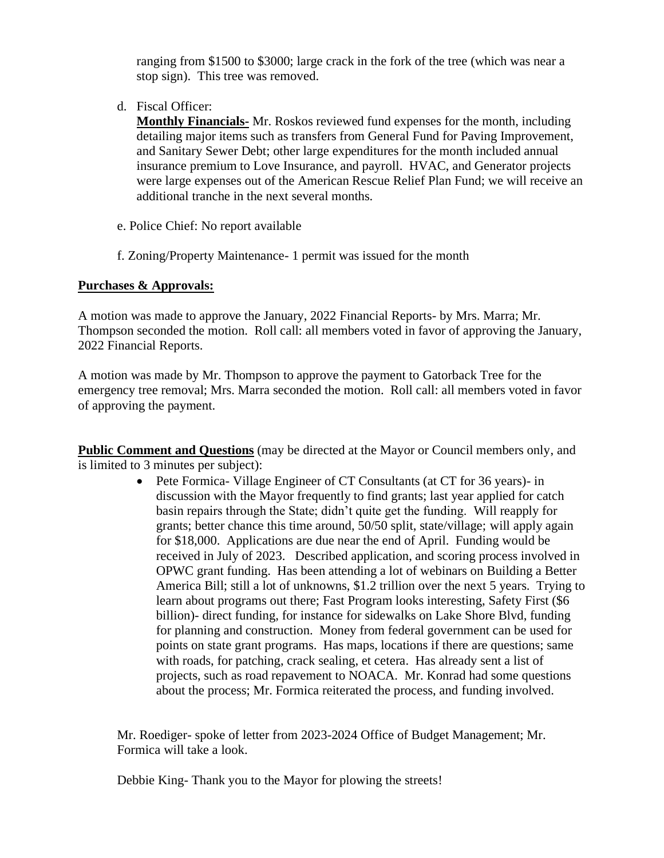ranging from \$1500 to \$3000; large crack in the fork of the tree (which was near a stop sign). This tree was removed.

d. Fiscal Officer:

**Monthly Financials-** Mr. Roskos reviewed fund expenses for the month, including detailing major items such as transfers from General Fund for Paving Improvement, and Sanitary Sewer Debt; other large expenditures for the month included annual insurance premium to Love Insurance, and payroll. HVAC, and Generator projects were large expenses out of the American Rescue Relief Plan Fund; we will receive an additional tranche in the next several months.

- e. Police Chief: No report available
- f. Zoning/Property Maintenance- 1 permit was issued for the month

## **Purchases & Approvals:**

A motion was made to approve the January, 2022 Financial Reports- by Mrs. Marra; Mr. Thompson seconded the motion. Roll call: all members voted in favor of approving the January, 2022 Financial Reports.

A motion was made by Mr. Thompson to approve the payment to Gatorback Tree for the emergency tree removal; Mrs. Marra seconded the motion. Roll call: all members voted in favor of approving the payment.

**Public Comment and Questions** (may be directed at the Mayor or Council members only, and is limited to 3 minutes per subject):

> • Pete Formica- Village Engineer of CT Consultants (at CT for 36 years)- in discussion with the Mayor frequently to find grants; last year applied for catch basin repairs through the State; didn't quite get the funding. Will reapply for grants; better chance this time around, 50/50 split, state/village; will apply again for \$18,000. Applications are due near the end of April. Funding would be received in July of 2023. Described application, and scoring process involved in OPWC grant funding. Has been attending a lot of webinars on Building a Better America Bill; still a lot of unknowns, \$1.2 trillion over the next 5 years. Trying to learn about programs out there; Fast Program looks interesting, Safety First (\$6) billion)- direct funding, for instance for sidewalks on Lake Shore Blvd, funding for planning and construction. Money from federal government can be used for points on state grant programs. Has maps, locations if there are questions; same with roads, for patching, crack sealing, et cetera. Has already sent a list of projects, such as road repavement to NOACA. Mr. Konrad had some questions about the process; Mr. Formica reiterated the process, and funding involved.

Mr. Roediger- spoke of letter from 2023-2024 Office of Budget Management; Mr. Formica will take a look.

Debbie King- Thank you to the Mayor for plowing the streets!